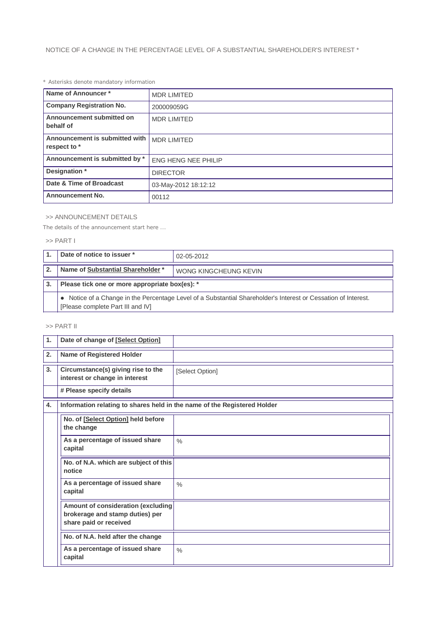# *\* Asterisks denote mandatory information*

| Name of Announcer*                             | <b>MDR LIMITED</b>         |  |
|------------------------------------------------|----------------------------|--|
| <b>Company Registration No.</b>                | 200009059G                 |  |
| Announcement submitted on<br>behalf of         | <b>MDR LIMITED</b>         |  |
| Announcement is submitted with<br>respect to * | <b>MDR LIMITED</b>         |  |
| Announcement is submitted by *                 | <b>ENG HENG NEE PHILIP</b> |  |
| Designation *                                  | <b>DIRECTOR</b>            |  |
| Date & Time of Broadcast                       | 03-May-2012 18:12:12       |  |
| <b>Announcement No.</b>                        | 00112                      |  |

### >> ANNOUNCEMENT DETAILS

*The details of the announcement start here ...*

### >> PART I

|              | Date of notice to issuer *                                                                                                                          | 02-05-2012            |  |
|--------------|-----------------------------------------------------------------------------------------------------------------------------------------------------|-----------------------|--|
| $\mathbf{2}$ | Name of Substantial Shareholder *                                                                                                                   | WONG KINGCHEUNG KEVIN |  |
| 3.           | Please tick one or more appropriate box(es): *                                                                                                      |                       |  |
|              | • Notice of a Change in the Percentage Level of a Substantial Shareholder's Interest or Cessation of Interest.<br>[Please complete Part III and IV] |                       |  |

## >> PART II

| 1. | Date of change of [Select Option]                                                               |                 |
|----|-------------------------------------------------------------------------------------------------|-----------------|
| 2. | <b>Name of Registered Holder</b>                                                                |                 |
| 3. | Circumstance(s) giving rise to the<br>interest or change in interest                            | [Select Option] |
|    | # Please specify details                                                                        |                 |
| 4. | Information relating to shares held in the name of the Registered Holder                        |                 |
|    | No. of [Select Option] held before<br>the change                                                |                 |
|    | As a percentage of issued share<br>capital                                                      | $\frac{0}{0}$   |
|    | No. of N.A. which are subject of this<br>notice                                                 |                 |
|    | As a percentage of issued share<br>capital                                                      | $\frac{0}{0}$   |
|    | Amount of consideration (excluding<br>brokerage and stamp duties) per<br>share paid or received |                 |
|    | No. of N.A. held after the change                                                               |                 |
|    | As a percentage of issued share<br>capital                                                      | $\frac{0}{0}$   |